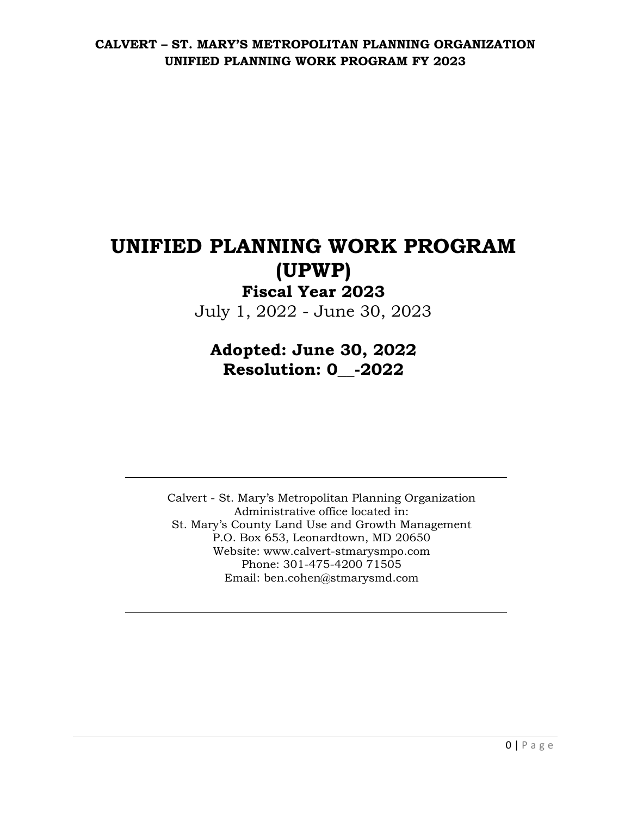# **UNIFIED PLANNING WORK PROGRAM (UPWP)**

# **Fiscal Year 2023** July 1, 2022 - June 30, 2023

# **Adopted: June 30, 2022 Resolution: 0\_\_-2022**

Calvert - St. Mary's Metropolitan Planning Organization Administrative office located in: St. Mary's County Land Use and Growth Management P.O. Box 653, Leonardtown, MD 20650 Website: www.calvert-stmarysmpo.com Phone: 301-475-4200 71505 Email: ben.cohen@stmarysmd.com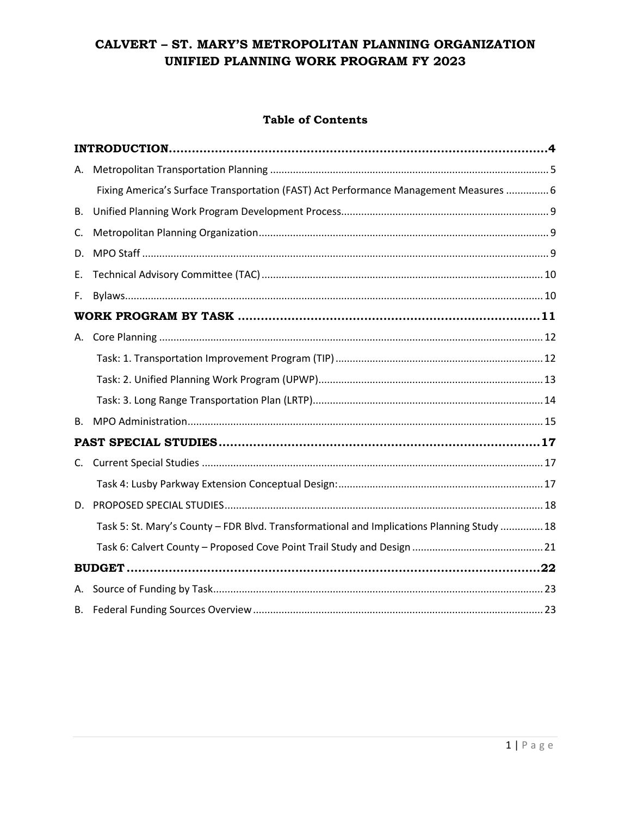## **Table of Contents**

| А. |                                                                                            |  |
|----|--------------------------------------------------------------------------------------------|--|
|    | Fixing America's Surface Transportation (FAST) Act Performance Management Measures  6      |  |
| В. |                                                                                            |  |
| C. |                                                                                            |  |
| D. |                                                                                            |  |
| Е. |                                                                                            |  |
| F. |                                                                                            |  |
|    |                                                                                            |  |
| А. |                                                                                            |  |
|    |                                                                                            |  |
|    |                                                                                            |  |
|    |                                                                                            |  |
| В. |                                                                                            |  |
|    |                                                                                            |  |
| C. |                                                                                            |  |
|    |                                                                                            |  |
| D. |                                                                                            |  |
|    | Task 5: St. Mary's County - FDR Blvd. Transformational and Implications Planning Study  18 |  |
|    |                                                                                            |  |
|    |                                                                                            |  |
|    |                                                                                            |  |
| В. |                                                                                            |  |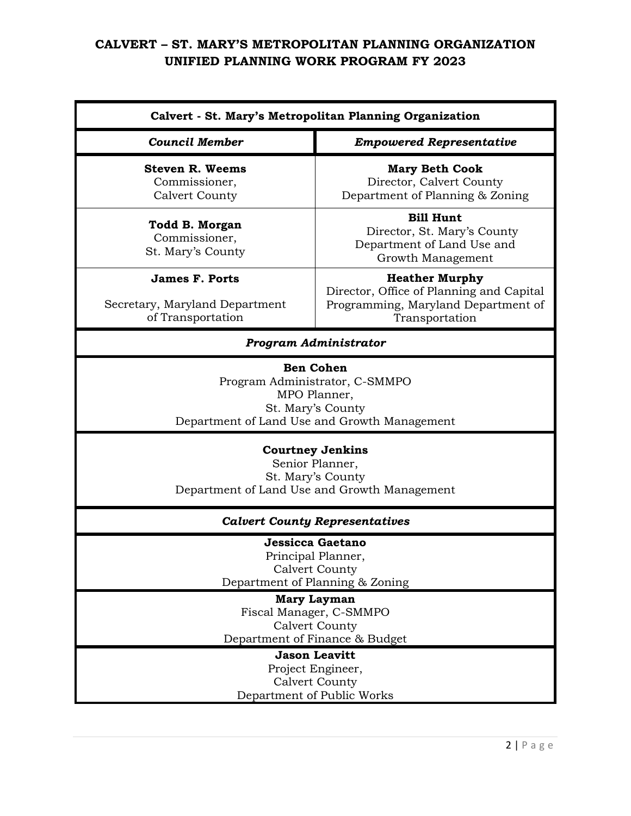| <b>Council Member</b>                                                                                                                                                                                | <b>Empowered Representative</b>                                                                                            |  |  |
|------------------------------------------------------------------------------------------------------------------------------------------------------------------------------------------------------|----------------------------------------------------------------------------------------------------------------------------|--|--|
| <b>Steven R. Weems</b><br>Commissioner,<br><b>Calvert County</b>                                                                                                                                     | <b>Mary Beth Cook</b><br>Director, Calvert County<br>Department of Planning & Zoning                                       |  |  |
| Todd B. Morgan<br>Commissioner,<br>St. Mary's County                                                                                                                                                 | <b>Bill Hunt</b><br>Director, St. Mary's County<br>Department of Land Use and<br>Growth Management                         |  |  |
| <b>James F. Ports</b><br>Secretary, Maryland Department<br>of Transportation                                                                                                                         | <b>Heather Murphy</b><br>Director, Office of Planning and Capital<br>Programming, Maryland Department of<br>Transportation |  |  |
|                                                                                                                                                                                                      | <b>Program Administrator</b>                                                                                               |  |  |
| MPO Planner,<br>St. Mary's County<br>Department of Land Use and Growth Management<br><b>Courtney Jenkins</b><br>Senior Planner,<br>St. Mary's County<br>Department of Land Use and Growth Management |                                                                                                                            |  |  |
|                                                                                                                                                                                                      | <b>Calvert County Representatives</b>                                                                                      |  |  |
| Jessicca Gaetano<br>Principal Planner,<br><b>Calvert County</b><br>Department of Planning & Zoning                                                                                                   |                                                                                                                            |  |  |
|                                                                                                                                                                                                      | Mary Layman<br>Fiscal Manager, C-SMMPO<br><b>Calvert County</b>                                                            |  |  |
|                                                                                                                                                                                                      | Department of Finance & Budget<br><b>Jason Leavitt</b>                                                                     |  |  |
|                                                                                                                                                                                                      | Project Engineer,<br><b>Calvert County</b><br>Department of Public Works                                                   |  |  |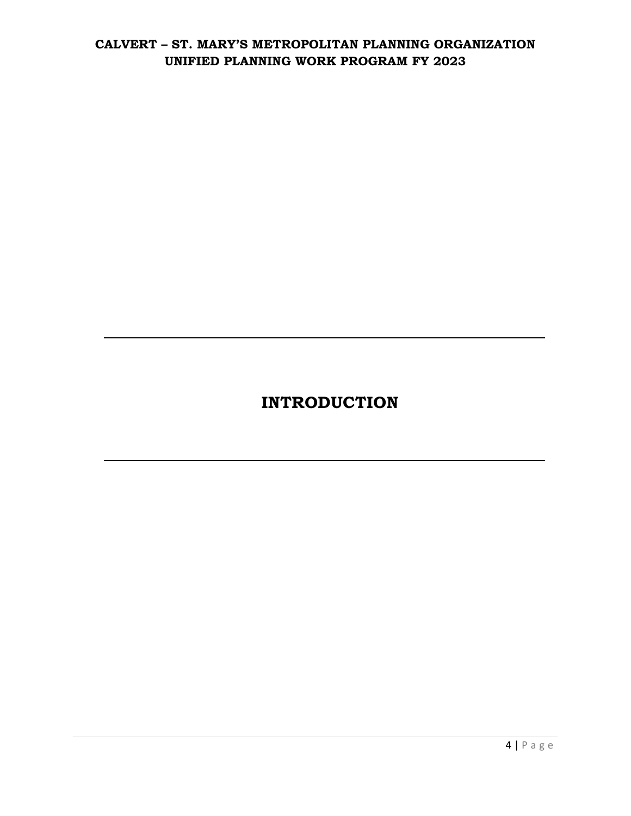# **INTRODUCTION**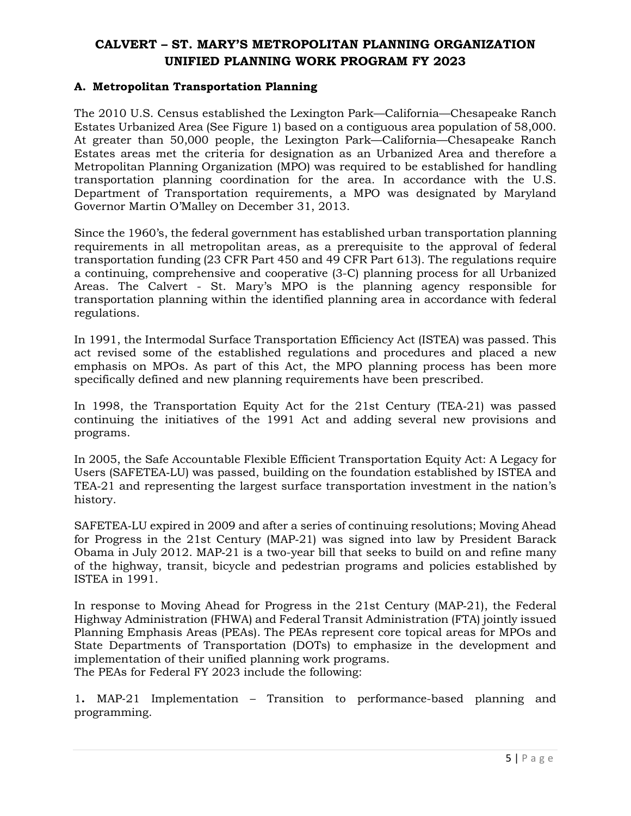#### <span id="page-4-0"></span>**A. Metropolitan Transportation Planning**

The 2010 U.S. Census established the Lexington Park—California—Chesapeake Ranch Estates Urbanized Area (See Figure 1) based on a contiguous area population of 58,000. At greater than 50,000 people, the Lexington Park—California—Chesapeake Ranch Estates areas met the criteria for designation as an Urbanized Area and therefore a Metropolitan Planning Organization (MPO) was required to be established for handling transportation planning coordination for the area. In accordance with the U.S. Department of Transportation requirements, a MPO was designated by Maryland Governor Martin O'Malley on December 31, 2013.

Since the 1960's, the federal government has established urban transportation planning requirements in all metropolitan areas, as a prerequisite to the approval of federal transportation funding (23 CFR Part 450 and 49 CFR Part 613). The regulations require a continuing, comprehensive and cooperative (3-C) planning process for all Urbanized Areas. The Calvert - St. Mary's MPO is the planning agency responsible for transportation planning within the identified planning area in accordance with federal regulations.

In 1991, the Intermodal Surface Transportation Efficiency Act (ISTEA) was passed. This act revised some of the established regulations and procedures and placed a new emphasis on MPOs. As part of this Act, the MPO planning process has been more specifically defined and new planning requirements have been prescribed.

In 1998, the Transportation Equity Act for the 21st Century (TEA‐21) was passed continuing the initiatives of the 1991 Act and adding several new provisions and programs.

In 2005, the Safe Accountable Flexible Efficient Transportation Equity Act: A Legacy for Users (SAFETEA‐LU) was passed, building on the foundation established by ISTEA and TEA‐21 and representing the largest surface transportation investment in the nation's history.

SAFETEA‐LU expired in 2009 and after a series of continuing resolutions; Moving Ahead for Progress in the 21st Century (MAP‐21) was signed into law by President Barack Obama in July 2012. MAP‐21 is a two-year bill that seeks to build on and refine many of the highway, transit, bicycle and pedestrian programs and policies established by ISTEA in 1991.

In response to Moving Ahead for Progress in the 21st Century (MAP‐21), the Federal Highway Administration (FHWA) and Federal Transit Administration (FTA) jointly issued Planning Emphasis Areas (PEAs). The PEAs represent core topical areas for MPOs and State Departments of Transportation (DOTs) to emphasize in the development and implementation of their unified planning work programs. The PEAs for Federal FY 2023 include the following:

1**.** MAP‐21 Implementation – Transition to performance-based planning and programming.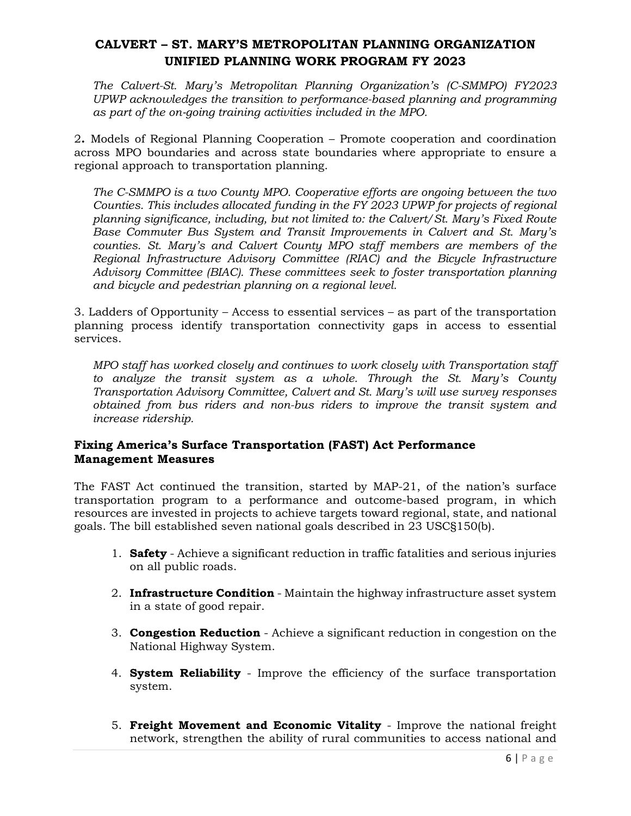*The Calvert-St. Mary's Metropolitan Planning Organization's (C-SMMPO) FY2023 UPWP acknowledges the transition to performance-based planning and programming as part of the on*‐*going training activities included in the MPO.*

2**.** Models of Regional Planning Cooperation – Promote cooperation and coordination across MPO boundaries and across state boundaries where appropriate to ensure a regional approach to transportation planning.

*The C-SMMPO is a two County MPO. Cooperative efforts are ongoing between the two Counties. This includes allocated funding in the FY 2023 UPWP for projects of regional planning significance, including, but not limited to: the Calvert/St. Mary's Fixed Route Base Commuter Bus System and Transit Improvements in Calvert and St. Mary's counties. St. Mary's and Calvert County MPO staff members are members of the Regional Infrastructure Advisory Committee (RIAC) and the Bicycle Infrastructure Advisory Committee (BIAC). These committees seek to foster transportation planning and bicycle and pedestrian planning on a regional level.*

3. Ladders of Opportunity – Access to essential services – as part of the transportation planning process identify transportation connectivity gaps in access to essential services.

*MPO staff has worked closely and continues to work closely with Transportation staff to analyze the transit system as a whole. Through the St. Mary's County Transportation Advisory Committee, Calvert and St. Mary's will use survey responses obtained from bus riders and non-bus riders to improve the transit system and increase ridership.*

## <span id="page-5-0"></span>**Fixing America's Surface Transportation (FAST) Act Performance Management Measures**

The FAST Act continued the transition, started by MAP-21, of the nation's surface transportation program to a performance and outcome-based program, in which resources are invested in projects to achieve targets toward regional, state, and national goals. The bill established seven national goals described in 23 USC§150(b).

- 1. **Safety** Achieve a significant reduction in traffic fatalities and serious injuries on all public roads.
- 2. **Infrastructure Condition** Maintain the highway infrastructure asset system in a state of good repair.
- 3. **Congestion Reduction** Achieve a significant reduction in congestion on the National Highway System.
- 4. **System Reliability** Improve the efficiency of the surface transportation system.
- 5. **Freight Movement and Economic Vitality**  Improve the national freight network, strengthen the ability of rural communities to access national and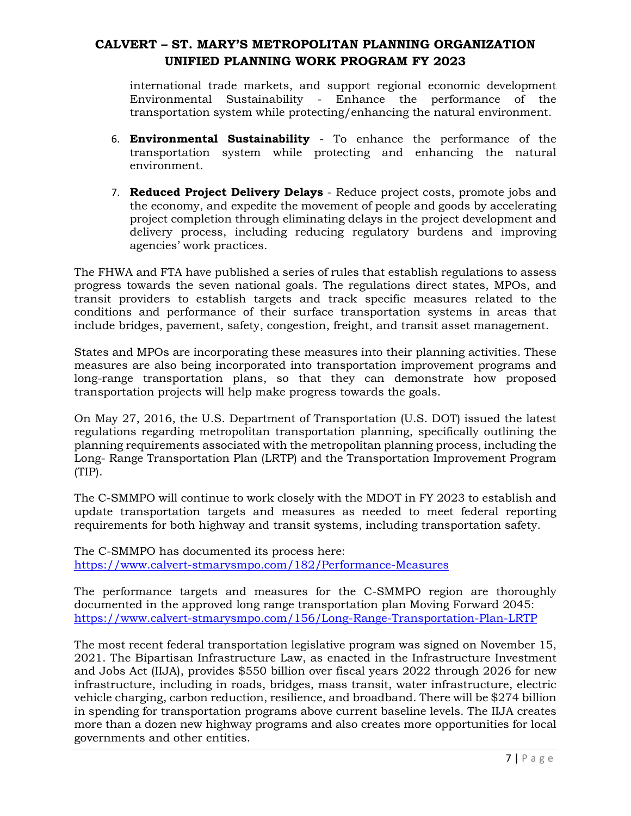international trade markets, and support regional economic development Environmental Sustainability - Enhance the performance of the transportation system while protecting/enhancing the natural environment.

- 6. **Environmental Sustainability** To enhance the performance of the transportation system while protecting and enhancing the natural environment.
- 7. **Reduced Project Delivery Delays** Reduce project costs, promote jobs and the economy, and expedite the movement of people and goods by accelerating project completion through eliminating delays in the project development and delivery process, including reducing regulatory burdens and improving agencies' work practices.

The FHWA and FTA have published a series of rules that establish regulations to assess progress towards the seven national goals. The regulations direct states, MPOs, and transit providers to establish targets and track specific measures related to the conditions and performance of their surface transportation systems in areas that include bridges, pavement, safety, congestion, freight, and transit asset management.

States and MPOs are incorporating these measures into their planning activities. These measures are also being incorporated into transportation improvement programs and long-range transportation plans, so that they can demonstrate how proposed transportation projects will help make progress towards the goals.

On May 27, 2016, the U.S. Department of Transportation (U.S. DOT) issued the latest regulations regarding metropolitan transportation planning, specifically outlining the planning requirements associated with the metropolitan planning process, including the Long- Range Transportation Plan (LRTP) and the Transportation Improvement Program (TIP).

The C-SMMPO will continue to work closely with the MDOT in FY 2023 to establish and update transportation targets and measures as needed to meet federal reporting requirements for both highway and transit systems, including transportation safety.

The C-SMMPO has documented its process here: <https://www.calvert-stmarysmpo.com/182/Performance-Measures>

The performance targets and measures for the C-SMMPO region are thoroughly documented in the approved long range transportation plan Moving Forward 2045: <https://www.calvert-stmarysmpo.com/156/Long-Range-Transportation-Plan-LRTP>

The most recent federal transportation legislative program was signed on November 15, 2021. The Bipartisan Infrastructure Law, as enacted in the Infrastructure Investment and Jobs Act (IIJA), provides \$550 billion over fiscal years 2022 through 2026 for new infrastructure, including in roads, bridges, mass transit, water infrastructure, electric vehicle charging, carbon reduction, resilience, and broadband. There will be \$274 billion in spending for transportation programs above current baseline levels. The IIJA creates more than a dozen new highway programs and also creates more opportunities for local governments and other entities.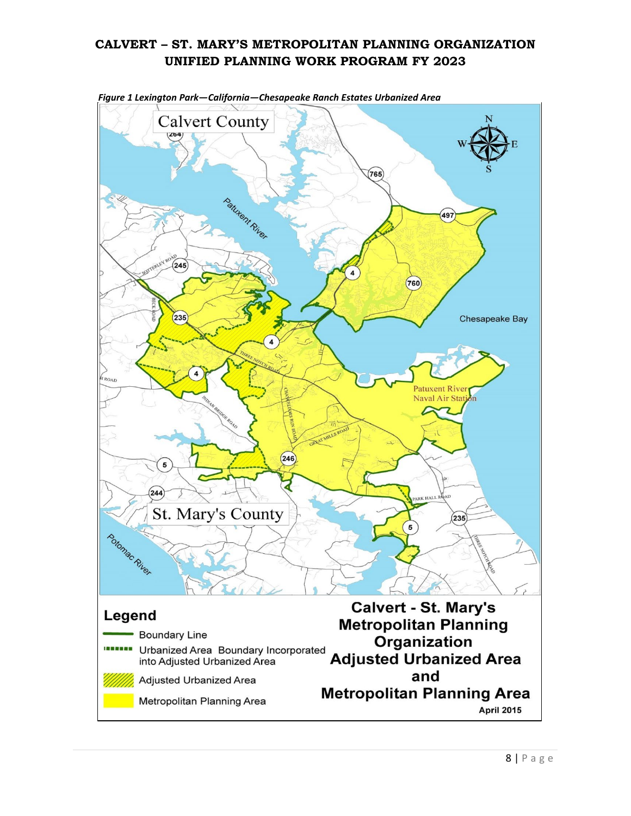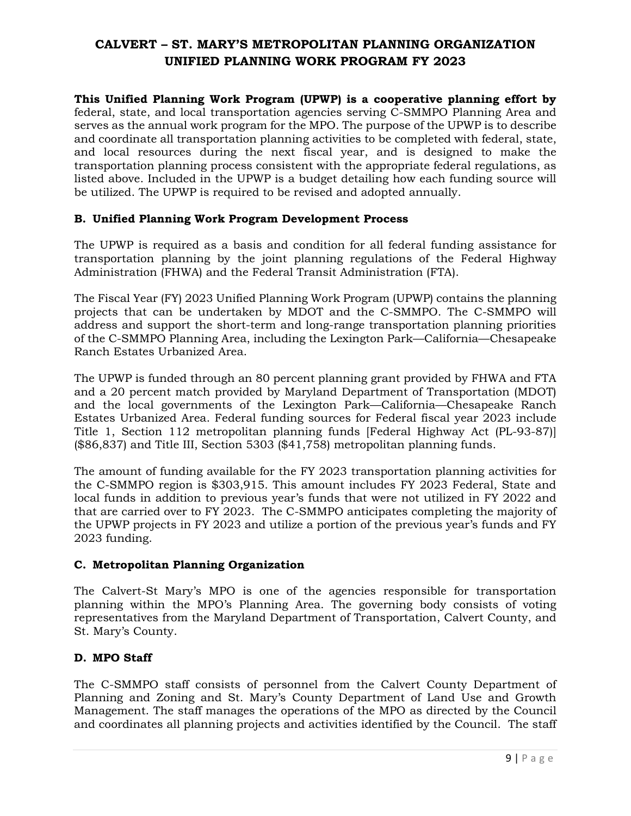**This Unified Planning Work Program (UPWP) is a cooperative planning effort by** federal, state, and local transportation agencies serving C-SMMPO Planning Area and serves as the annual work program for the MPO. The purpose of the UPWP is to describe and coordinate all transportation planning activities to be completed with federal, state, and local resources during the next fiscal year, and is designed to make the transportation planning process consistent with the appropriate federal regulations, as listed above. Included in the UPWP is a budget detailing how each funding source will be utilized. The UPWP is required to be revised and adopted annually.

### <span id="page-8-0"></span>**B. Unified Planning Work Program Development Process**

The UPWP is required as a basis and condition for all federal funding assistance for transportation planning by the joint planning regulations of the Federal Highway Administration (FHWA) and the Federal Transit Administration (FTA).

The Fiscal Year (FY) 2023 Unified Planning Work Program (UPWP) contains the planning projects that can be undertaken by MDOT and the C-SMMPO. The C-SMMPO will address and support the short-term and long-range transportation planning priorities of the C-SMMPO Planning Area, including the Lexington Park—California—Chesapeake Ranch Estates Urbanized Area.

The UPWP is funded through an 80 percent planning grant provided by FHWA and FTA and a 20 percent match provided by Maryland Department of Transportation (MDOT) and the local governments of the Lexington Park—California—Chesapeake Ranch Estates Urbanized Area. Federal funding sources for Federal fiscal year 2023 include Title 1, Section 112 metropolitan planning funds [Federal Highway Act (PL-93-87)] (\$86,837) and Title III, Section 5303 (\$41,758) metropolitan planning funds.

The amount of funding available for the FY 2023 transportation planning activities for the C-SMMPO region is \$303,915. This amount includes FY 2023 Federal, State and local funds in addition to previous year's funds that were not utilized in FY 2022 and that are carried over to FY 2023. The C-SMMPO anticipates completing the majority of the UPWP projects in FY 2023 and utilize a portion of the previous year's funds and FY 2023 funding.

### <span id="page-8-1"></span>**C. Metropolitan Planning Organization**

The Calvert-St Mary's MPO is one of the agencies responsible for transportation planning within the MPO's Planning Area. The governing body consists of voting representatives from the Maryland Department of Transportation, Calvert County, and St. Mary's County.

# <span id="page-8-2"></span>**D. MPO Staff**

The C-SMMPO staff consists of personnel from the Calvert County Department of Planning and Zoning and St. Mary's County Department of Land Use and Growth Management. The staff manages the operations of the MPO as directed by the Council and coordinates all planning projects and activities identified by the Council. The staff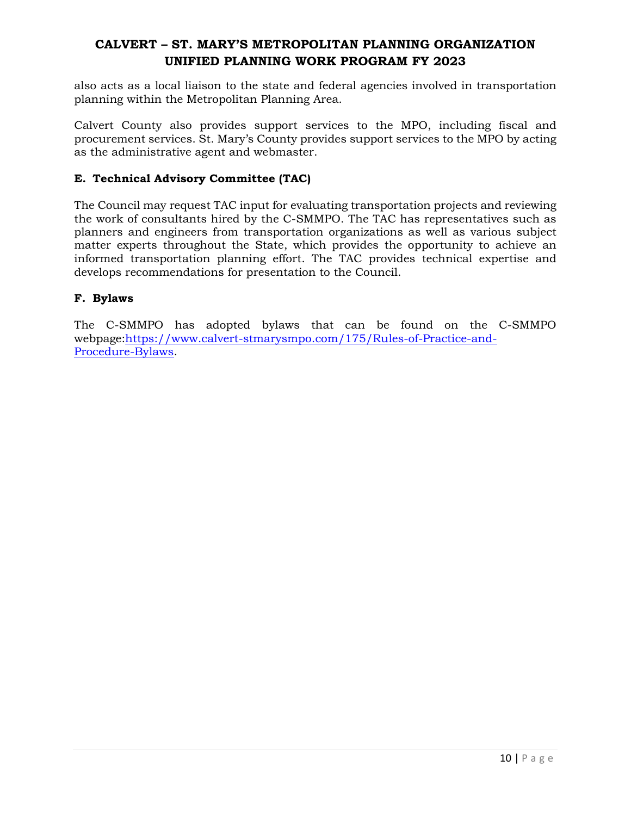also acts as a local liaison to the state and federal agencies involved in transportation planning within the Metropolitan Planning Area.

Calvert County also provides support services to the MPO, including fiscal and procurement services. St. Mary's County provides support services to the MPO by acting as the administrative agent and webmaster.

### <span id="page-9-0"></span>**E. Technical Advisory Committee (TAC)**

The Council may request TAC input for evaluating transportation projects and reviewing the work of consultants hired by the C-SMMPO. The TAC has representatives such as planners and engineers from transportation organizations as well as various subject matter experts throughout the State, which provides the opportunity to achieve an informed transportation planning effort. The TAC provides technical expertise and develops recommendations for presentation to the Council.

### <span id="page-9-1"></span>**F. Bylaws**

The C-SMMPO has adopted bylaws that can be found on the C-SMMPO webpage[:https://www.calvert-stmarysmpo.com/175/Rules-of-Practice-and-](https://www.calvert-stmarysmpo.com/175/Rules-of-Practice-and-Procedure-Bylaws)[Procedure-Bylaws.](https://www.calvert-stmarysmpo.com/175/Rules-of-Practice-and-Procedure-Bylaws)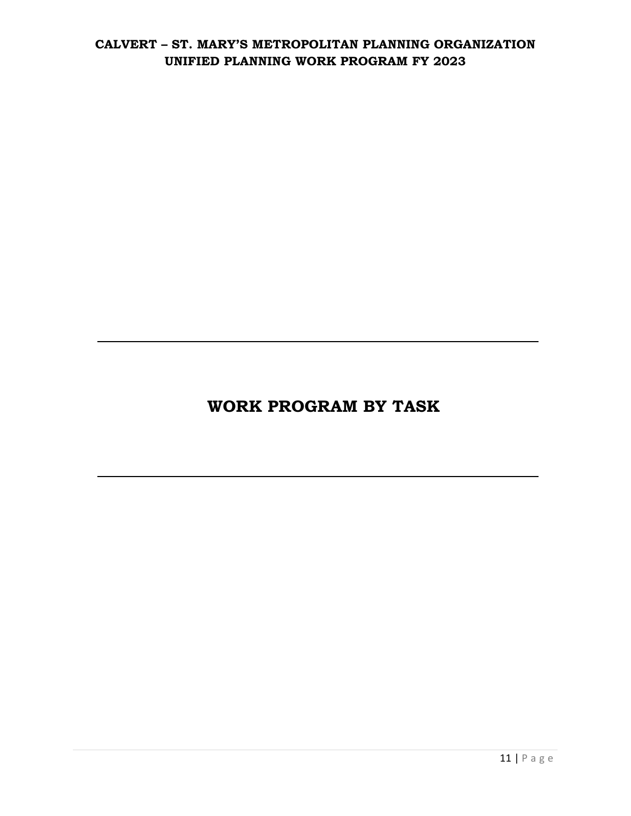# **WORK PROGRAM BY TASK**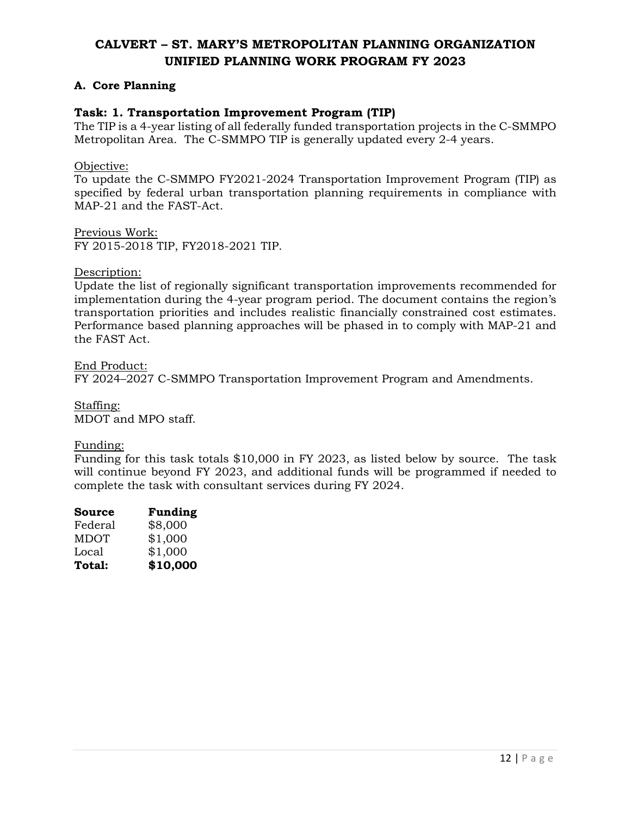## <span id="page-11-0"></span>**A. Core Planning**

### <span id="page-11-1"></span>**Task: 1. Transportation Improvement Program (TIP)**

The TIP is a 4-year listing of all federally funded transportation projects in the C-SMMPO Metropolitan Area. The C-SMMPO TIP is generally updated every 2-4 years.

Objective:

To update the C-SMMPO FY2021-2024 Transportation Improvement Program (TIP) as specified by federal urban transportation planning requirements in compliance with MAP-21 and the FAST-Act.

Previous Work: FY 2015-2018 TIP, FY2018-2021 TIP.

#### Description:

Update the list of regionally significant transportation improvements recommended for implementation during the 4-year program period. The document contains the region's transportation priorities and includes realistic financially constrained cost estimates. Performance based planning approaches will be phased in to comply with MAP-21 and the FAST Act.

End Product: FY 2024–2027 C-SMMPO Transportation Improvement Program and Amendments.

Staffing: MDOT and MPO staff.

#### Funding:

Funding for this task totals \$10,000 in FY 2023, as listed below by source. The task will continue beyond FY 2023, and additional funds will be programmed if needed to complete the task with consultant services during FY 2024.

| Source      | <b>Funding</b> |
|-------------|----------------|
| Federal     | \$8,000        |
| <b>MDOT</b> | \$1,000        |
| Local       | \$1,000        |
| Total:      | \$10,000       |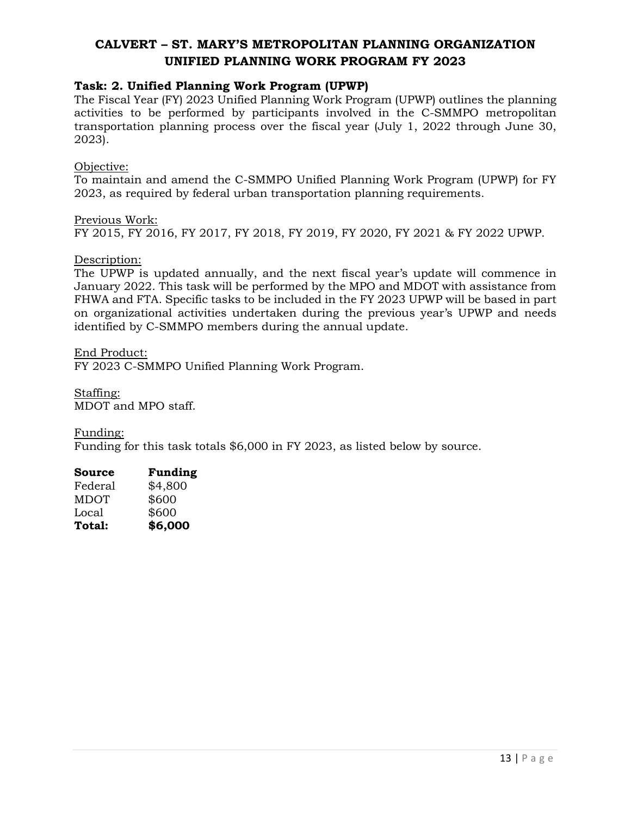### <span id="page-12-0"></span>**Task: 2. Unified Planning Work Program (UPWP)**

The Fiscal Year (FY) 2023 Unified Planning Work Program (UPWP) outlines the planning activities to be performed by participants involved in the C-SMMPO metropolitan transportation planning process over the fiscal year (July 1, 2022 through June 30, 2023).

#### Objective:

To maintain and amend the C-SMMPO Unified Planning Work Program (UPWP) for FY 2023, as required by federal urban transportation planning requirements.

Previous Work: FY 2015, FY 2016, FY 2017, FY 2018, FY 2019, FY 2020, FY 2021 & FY 2022 UPWP.

#### Description:

The UPWP is updated annually, and the next fiscal year's update will commence in January 2022. This task will be performed by the MPO and MDOT with assistance from FHWA and FTA. Specific tasks to be included in the FY 2023 UPWP will be based in part on organizational activities undertaken during the previous year's UPWP and needs identified by C-SMMPO members during the annual update.

End Product: FY 2023 C-SMMPO Unified Planning Work Program.

Staffing: MDOT and MPO staff.

Funding:

Funding for this task totals \$6,000 in FY 2023, as listed below by source.

| Source        | <b>Funding</b> |
|---------------|----------------|
| Federal       | \$4,800        |
| <b>MDOT</b>   | \$600          |
| Local         | \$600          |
| <b>Total:</b> | \$6,000        |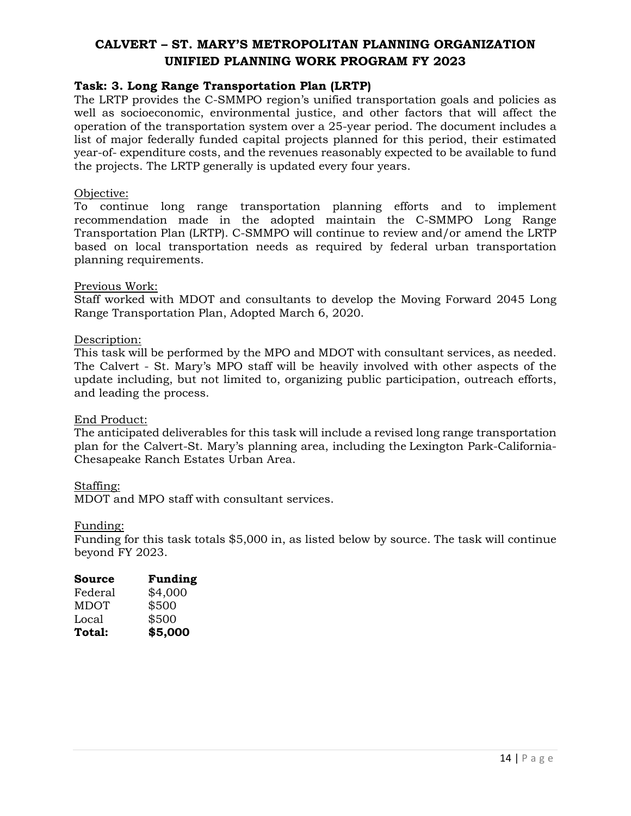### <span id="page-13-0"></span>**Task: 3. Long Range Transportation Plan (LRTP)**

The LRTP provides the C-SMMPO region's unified transportation goals and policies as well as socioeconomic, environmental justice, and other factors that will affect the operation of the transportation system over a 25-year period. The document includes a list of major federally funded capital projects planned for this period, their estimated year-of- expenditure costs, and the revenues reasonably expected to be available to fund the projects. The LRTP generally is updated every four years.

#### Objective:

To continue long range transportation planning efforts and to implement recommendation made in the adopted maintain the C-SMMPO Long Range Transportation Plan (LRTP). C-SMMPO will continue to review and/or amend the LRTP based on local transportation needs as required by federal urban transportation planning requirements.

#### Previous Work:

Staff worked with MDOT and consultants to develop the Moving Forward 2045 Long Range Transportation Plan, Adopted March 6, 2020.

#### Description:

This task will be performed by the MPO and MDOT with consultant services, as needed. The Calvert - St. Mary's MPO staff will be heavily involved with other aspects of the update including, but not limited to, organizing public participation, outreach efforts, and leading the process.

#### End Product:

The anticipated deliverables for this task will include a revised long range transportation plan for the Calvert-St. Mary's planning area, including the Lexington Park-California-Chesapeake Ranch Estates Urban Area.

#### Staffing:

MDOT and MPO staff with consultant services.

#### Funding:

Funding for this task totals \$5,000 in, as listed below by source. The task will continue beyond FY 2023.

| Source      | <b>Funding</b> |
|-------------|----------------|
| Federal     | \$4,000        |
| <b>MDOT</b> | \$500          |
| Local       | \$500          |
| Total:      | \$5,000        |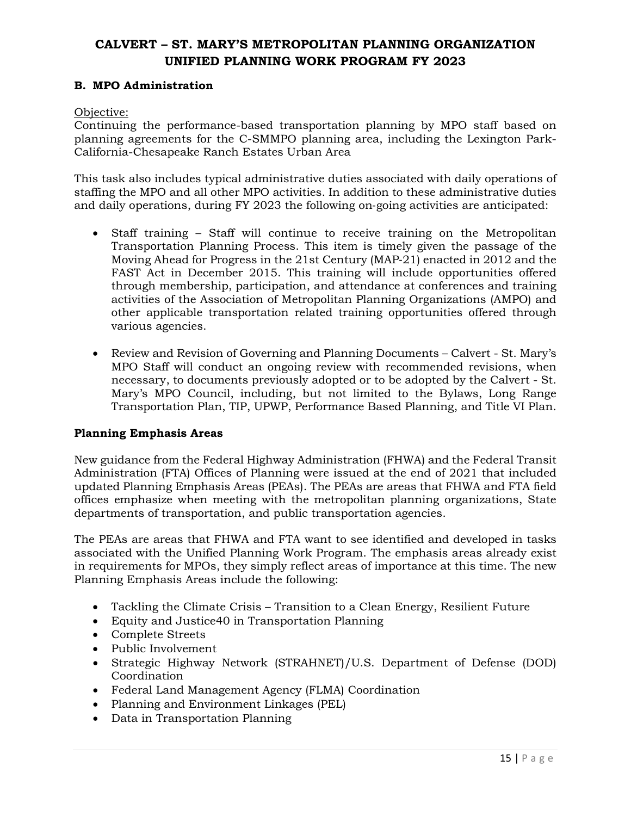### <span id="page-14-0"></span>**B. MPO Administration**

Objective:

Continuing the performance-based transportation planning by MPO staff based on planning agreements for the C-SMMPO planning area, including the Lexington Park-California-Chesapeake Ranch Estates Urban Area

This task also includes typical administrative duties associated with daily operations of staffing the MPO and all other MPO activities. In addition to these administrative duties and daily operations, during FY 2023 the following on‐going activities are anticipated:

- Staff training Staff will continue to receive training on the Metropolitan Transportation Planning Process. This item is timely given the passage of the Moving Ahead for Progress in the 21st Century (MAP‐21) enacted in 2012 and the FAST Act in December 2015. This training will include opportunities offered through membership, participation, and attendance at conferences and training activities of the Association of Metropolitan Planning Organizations (AMPO) and other applicable transportation related training opportunities offered through various agencies.
- Review and Revision of Governing and Planning Documents Calvert St. Mary's MPO Staff will conduct an ongoing review with recommended revisions, when necessary, to documents previously adopted or to be adopted by the Calvert - St. Mary's MPO Council, including, but not limited to the Bylaws, Long Range Transportation Plan, TIP, UPWP, Performance Based Planning, and Title VI Plan.

#### **Planning Emphasis Areas**

New guidance from the Federal Highway Administration (FHWA) and the Federal Transit Administration (FTA) Offices of Planning were issued at the end of 2021 that included updated Planning Emphasis Areas (PEAs). The PEAs are areas that FHWA and FTA field offices emphasize when meeting with the metropolitan planning organizations, State departments of transportation, and public transportation agencies.

The PEAs are areas that FHWA and FTA want to see identified and developed in tasks associated with the Unified Planning Work Program. The emphasis areas already exist in requirements for MPOs, they simply reflect areas of importance at this time. The new Planning Emphasis Areas include the following:

- Tackling the Climate Crisis Transition to a Clean Energy, Resilient Future
- Equity and Justice40 in Transportation Planning
- Complete Streets
- Public Involvement
- Strategic Highway Network (STRAHNET)/U.S. Department of Defense (DOD) Coordination
- Federal Land Management Agency (FLMA) Coordination
- Planning and Environment Linkages (PEL)
- Data in Transportation Planning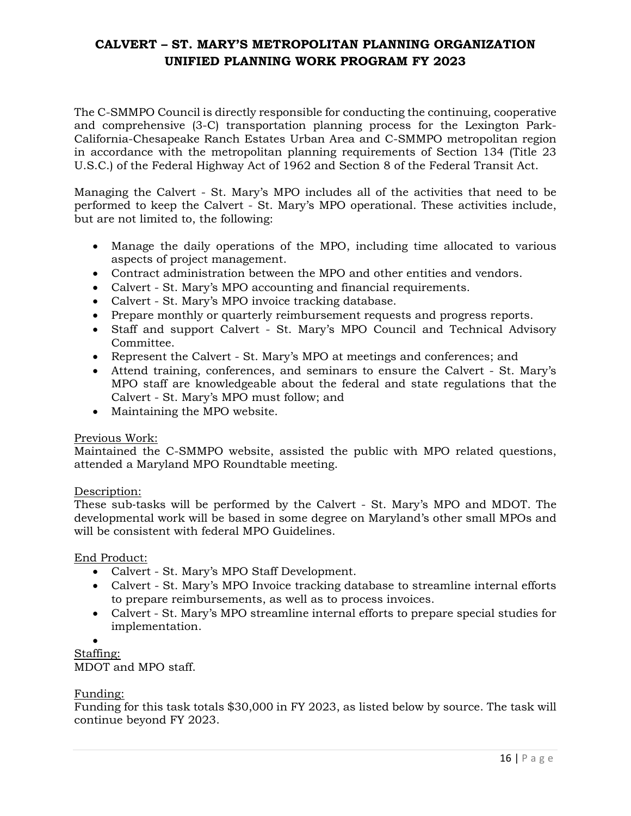The C-SMMPO Council is directly responsible for conducting the continuing, cooperative and comprehensive (3-C) transportation planning process for the Lexington Park-California-Chesapeake Ranch Estates Urban Area and C-SMMPO metropolitan region in accordance with the metropolitan planning requirements of Section 134 (Title 23 U.S.C.) of the Federal Highway Act of 1962 and Section 8 of the Federal Transit Act.

Managing the Calvert - St. Mary's MPO includes all of the activities that need to be performed to keep the Calvert - St. Mary's MPO operational. These activities include, but are not limited to, the following:

- Manage the daily operations of the MPO, including time allocated to various aspects of project management.
- Contract administration between the MPO and other entities and vendors.
- Calvert St. Mary's MPO accounting and financial requirements.
- Calvert St. Mary's MPO invoice tracking database.
- Prepare monthly or quarterly reimbursement requests and progress reports.
- Staff and support Calvert St. Mary's MPO Council and Technical Advisory Committee.
- Represent the Calvert St. Mary's MPO at meetings and conferences; and
- Attend training, conferences, and seminars to ensure the Calvert St. Mary's MPO staff are knowledgeable about the federal and state regulations that the Calvert - St. Mary's MPO must follow; and
- Maintaining the MPO website.

#### Previous Work:

Maintained the C-SMMPO website, assisted the public with MPO related questions, attended a Maryland MPO Roundtable meeting.

### Description:

These sub-tasks will be performed by the Calvert - St. Mary's MPO and MDOT. The developmental work will be based in some degree on Maryland's other small MPOs and will be consistent with federal MPO Guidelines.

### End Product:

- Calvert St. Mary's MPO Staff Development.
- Calvert St. Mary's MPO Invoice tracking database to streamline internal efforts to prepare reimbursements, as well as to process invoices.
- Calvert St. Mary's MPO streamline internal efforts to prepare special studies for implementation.

•

Staffing: MDOT and MPO staff.

### Funding:

Funding for this task totals \$30,000 in FY 2023, as listed below by source. The task will continue beyond FY 2023.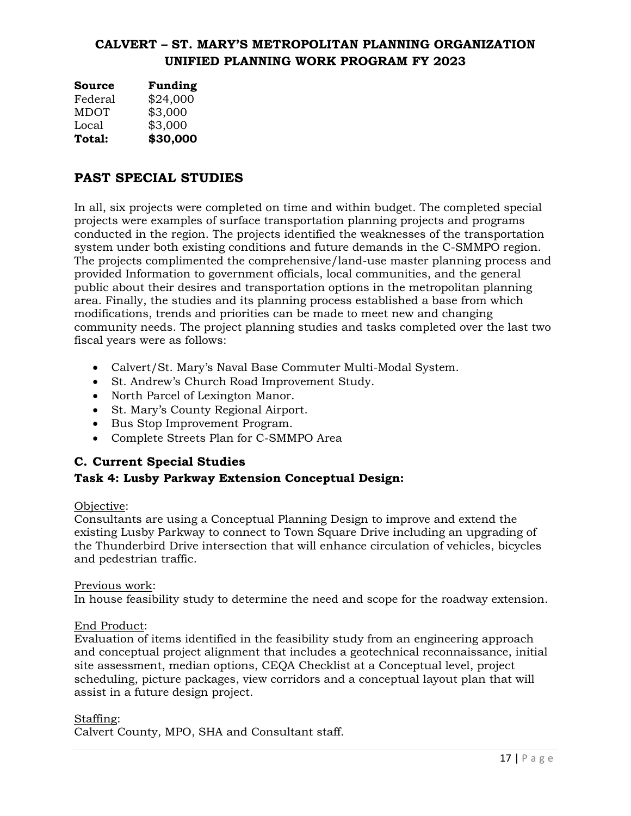| Source      | <b>Funding</b> |
|-------------|----------------|
| Federal     | \$24,000       |
| <b>MDOT</b> | \$3,000        |
| Local       | \$3,000        |
| Total:      | \$30,000       |

# <span id="page-16-0"></span>**PAST SPECIAL STUDIES**

In all, six projects were completed on time and within budget. The completed special projects were examples of surface transportation planning projects and programs conducted in the region. The projects identified the weaknesses of the transportation system under both existing conditions and future demands in the C-SMMPO region. The projects complimented the comprehensive/land-use master planning process and provided Information to government officials, local communities, and the general public about their desires and transportation options in the metropolitan planning area. Finally, the studies and its planning process established a base from which modifications, trends and priorities can be made to meet new and changing community needs. The project planning studies and tasks completed over the last two fiscal years were as follows:

- Calvert/St. Mary's Naval Base Commuter Multi-Modal System.
- St. Andrew's Church Road Improvement Study.
- North Parcel of Lexington Manor.
- St. Mary's County Regional Airport.
- Bus Stop Improvement Program.
- Complete Streets Plan for C-SMMPO Area

# <span id="page-16-1"></span>**C. Current Special Studies**

# <span id="page-16-2"></span>**Task 4: Lusby Parkway Extension Conceptual Design:**

### Objective:

Consultants are using a Conceptual Planning Design to improve and extend the existing Lusby Parkway to connect to Town Square Drive including an upgrading of the Thunderbird Drive intersection that will enhance circulation of vehicles, bicycles and pedestrian traffic.

### Previous work:

In house feasibility study to determine the need and scope for the roadway extension.

### End Product:

Evaluation of items identified in the feasibility study from an engineering approach and conceptual project alignment that includes a geotechnical reconnaissance, initial site assessment, median options, CEQA Checklist at a Conceptual level, project scheduling, picture packages, view corridors and a conceptual layout plan that will assist in a future design project.

### Staffing:

Calvert County, MPO, SHA and Consultant staff.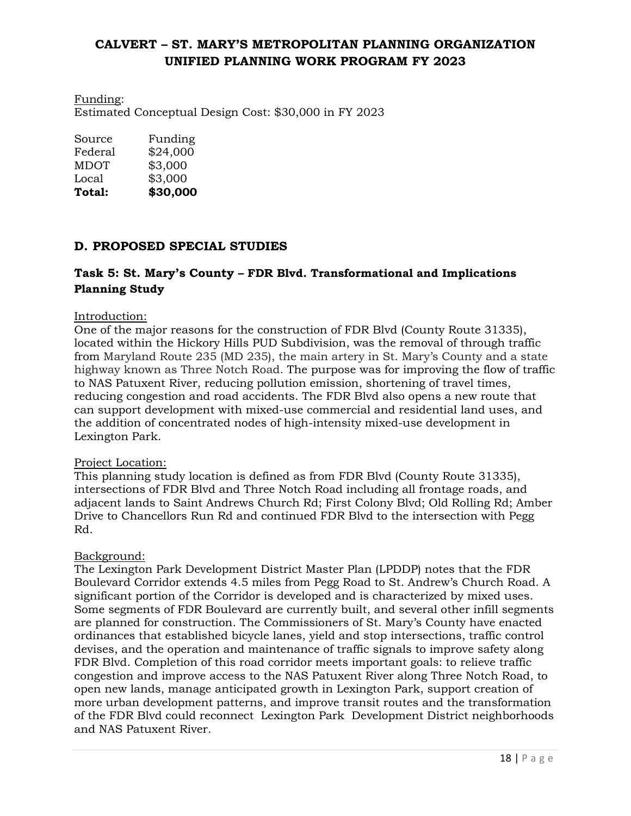Funding: Estimated Conceptual Design Cost: \$30,000 in FY 2023

| Total:  | \$30,000 |
|---------|----------|
| Local   | \$3,000  |
| MDOT    | \$3,000  |
| Federal | \$24,000 |
| Source  | Funding  |

# <span id="page-17-0"></span>**D. PROPOSED SPECIAL STUDIES**

# <span id="page-17-1"></span>**Task 5: St. Mary's County – FDR Blvd. Transformational and Implications Planning Study**

### Introduction:

One of the major reasons for the construction of FDR Blvd (County Route 31335), located within the Hickory Hills PUD Subdivision, was the removal of through traffic from Maryland Route 235 (MD 235), the main artery in St. Mary's County and a state highway known as Three Notch Road. The purpose was for improving the flow of traffic to NAS Patuxent River, reducing pollution emission, shortening of travel times, reducing congestion and road accidents. The FDR Blvd also opens a new route that can support development with mixed-use commercial and residential land uses, and the addition of concentrated nodes of high-intensity mixed-use development in Lexington Park.

#### Project Location:

This planning study location is defined as from FDR Blvd (County Route 31335), intersections of FDR Blvd and Three Notch Road including all frontage roads, and adjacent lands to Saint Andrews Church Rd; First Colony Blvd; Old Rolling Rd; Amber Drive to Chancellors Run Rd and continued FDR Blvd to the intersection with Pegg Rd.

#### Background:

The Lexington Park Development District Master Plan (LPDDP) notes that the FDR Boulevard Corridor extends 4.5 miles from Pegg Road to St. Andrew's Church Road. A significant portion of the Corridor is developed and is characterized by mixed uses. Some segments of FDR Boulevard are currently built, and several other infill segments are planned for construction. The Commissioners of St. Mary's County have enacted ordinances that established bicycle lanes, yield and stop intersections, traffic control devises, and the operation and maintenance of traffic signals to improve safety along FDR Blvd. Completion of this road corridor meets important goals: to relieve traffic congestion and improve access to the NAS Patuxent River along Three Notch Road, to open new lands, manage anticipated growth in Lexington Park, support creation of more urban development patterns, and improve transit routes and the transformation of the FDR Blvd could reconnect Lexington Park Development District neighborhoods and NAS Patuxent River.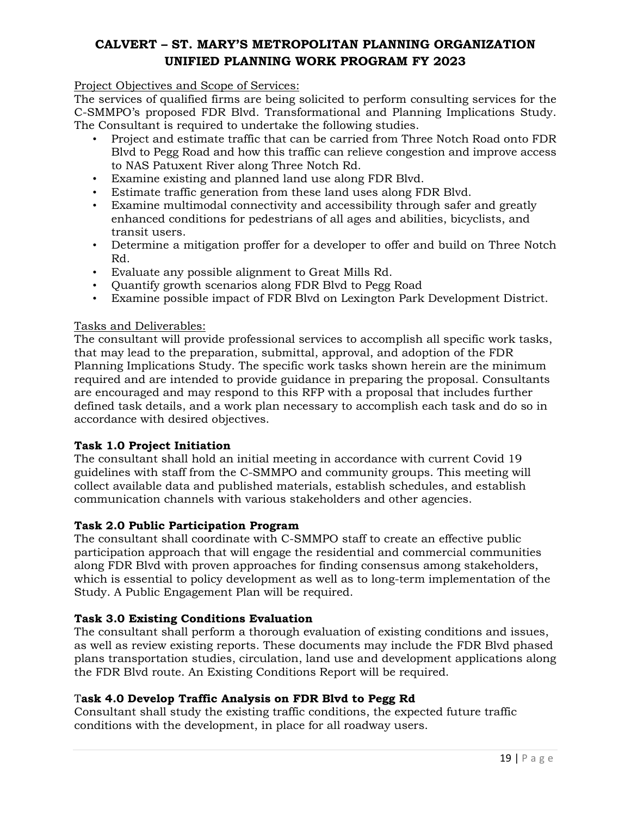### Project Objectives and Scope of Services:

The services of qualified firms are being solicited to perform consulting services for the C-SMMPO's proposed FDR Blvd. Transformational and Planning Implications Study. The Consultant is required to undertake the following studies.

- Project and estimate traffic that can be carried from Three Notch Road onto FDR Blvd to Pegg Road and how this traffic can relieve congestion and improve access to NAS Patuxent River along Three Notch Rd.
- Examine existing and planned land use along FDR Blvd.
- Estimate traffic generation from these land uses along FDR Blvd.
- Examine multimodal connectivity and accessibility through safer and greatly enhanced conditions for pedestrians of all ages and abilities, bicyclists, and transit users.
- Determine a mitigation proffer for a developer to offer and build on Three Notch Rd.
- Evaluate any possible alignment to Great Mills Rd.
- Quantify growth scenarios along FDR Blvd to Pegg Road
- Examine possible impact of FDR Blvd on Lexington Park Development District.

### Tasks and Deliverables:

The consultant will provide professional services to accomplish all specific work tasks, that may lead to the preparation, submittal, approval, and adoption of the FDR Planning Implications Study. The specific work tasks shown herein are the minimum required and are intended to provide guidance in preparing the proposal. Consultants are encouraged and may respond to this RFP with a proposal that includes further defined task details, and a work plan necessary to accomplish each task and do so in accordance with desired objectives.

### **Task 1.0 Project Initiation**

The consultant shall hold an initial meeting in accordance with current Covid 19 guidelines with staff from the C-SMMPO and community groups. This meeting will collect available data and published materials, establish schedules, and establish communication channels with various stakeholders and other agencies.

### **Task 2.0 Public Participation Program**

The consultant shall coordinate with C-SMMPO staff to create an effective public participation approach that will engage the residential and commercial communities along FDR Blvd with proven approaches for finding consensus among stakeholders, which is essential to policy development as well as to long-term implementation of the Study. A Public Engagement Plan will be required.

### **Task 3.0 Existing Conditions Evaluation**

The consultant shall perform a thorough evaluation of existing conditions and issues, as well as review existing reports. These documents may include the FDR Blvd phased plans transportation studies, circulation, land use and development applications along the FDR Blvd route. An Existing Conditions Report will be required.

### T**ask 4.0 Develop Traffic Analysis on FDR Blvd to Pegg Rd**

Consultant shall study the existing traffic conditions, the expected future traffic conditions with the development, in place for all roadway users.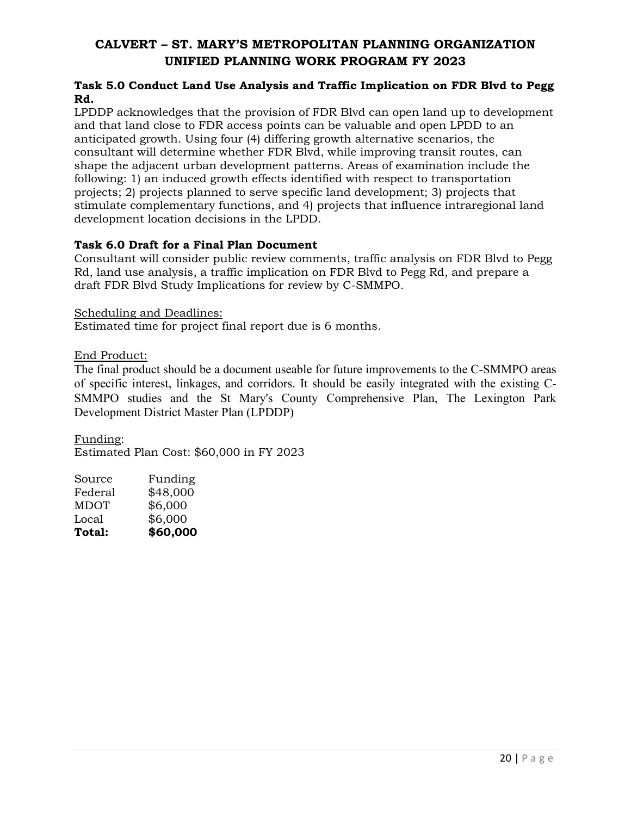### **Task 5.0 Conduct Land Use Analysis and Traffic Implication on FDR Blvd to Pegg Rd.**

LPDDP acknowledges that the provision of FDR Blvd can open land up to development and that land close to FDR access points can be valuable and open LPDD to an anticipated growth. Using four (4) differing growth alternative scenarios, the consultant will determine whether FDR Blvd, while improving transit routes, can shape the adjacent urban development patterns. Areas of examination include the following: 1) an induced growth effects identified with respect to transportation projects; 2) projects planned to serve specific land development; 3) projects that stimulate complementary functions, and 4) projects that influence intraregional land development location decisions in the LPDD.

## **Task 6.0 Draft for a Final Plan Document**

Consultant will consider public review comments, traffic analysis on FDR Blvd to Pegg Rd, land use analysis, a traffic implication on FDR Blvd to Pegg Rd, and prepare a draft FDR Blvd Study Implications for review by C-SMMPO.

Scheduling and Deadlines:

Estimated time for project final report due is 6 months.

End Product:

The final product should be a document useable for future improvements to the C-SMMPO areas of specific interest, linkages, and corridors. It should be easily integrated with the existing C-SMMPO studies and the St Mary's County Comprehensive Plan, The Lexington Park Development District Master Plan (LPDDP)

Funding: Estimated Plan Cost: \$60,000 in FY 2023

| Total:      | \$60,000 |
|-------------|----------|
| Local       | \$6,000  |
| <b>MDOT</b> | \$6,000  |
| Federal     | \$48,000 |
| Source      | Funding  |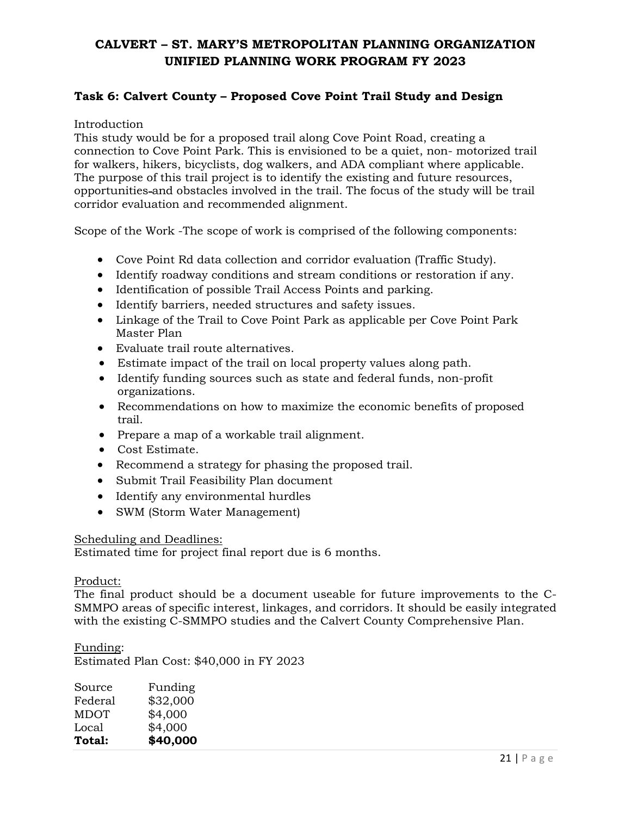# <span id="page-20-0"></span>**Task 6: Calvert County – Proposed Cove Point Trail Study and Design**

#### Introduction

This study would be for a proposed trail along Cove Point Road, creating a connection to Cove Point Park. This is envisioned to be a quiet, non- motorized trail for walkers, hikers, bicyclists, dog walkers, and ADA compliant where applicable. The purpose of this trail project is to identify the existing and future resources, opportunities and obstacles involved in the trail. The focus of the study will be trail corridor evaluation and recommended alignment.

Scope of the Work -The scope of work is comprised of the following components:

- Cove Point Rd data collection and corridor evaluation (Traffic Study).
- Identify roadway conditions and stream conditions or restoration if any.
- Identification of possible Trail Access Points and parking.
- Identify barriers, needed structures and safety issues.
- Linkage of the Trail to Cove Point Park as applicable per Cove Point Park Master Plan
- Evaluate trail route alternatives.
- Estimate impact of the trail on local property values along path.
- Identify funding sources such as state and federal funds, non-profit organizations.
- Recommendations on how to maximize the economic benefits of proposed trail.
- Prepare a map of a workable trail alignment.
- Cost Estimate.
- Recommend a strategy for phasing the proposed trail.
- Submit Trail Feasibility Plan document
- Identify any environmental hurdles
- SWM (Storm Water Management)

#### Scheduling and Deadlines:

Estimated time for project final report due is 6 months.

#### Product:

The final product should be a document useable for future improvements to the C-SMMPO areas of specific interest, linkages, and corridors. It should be easily integrated with the existing C-SMMPO studies and the Calvert County Comprehensive Plan.

#### Funding:

Estimated Plan Cost: \$40,000 in FY 2023

| Source      | Funding  |
|-------------|----------|
| Federal     | \$32,000 |
| <b>MDOT</b> | \$4,000  |
| Local       | \$4,000  |
| Total:      | \$40,000 |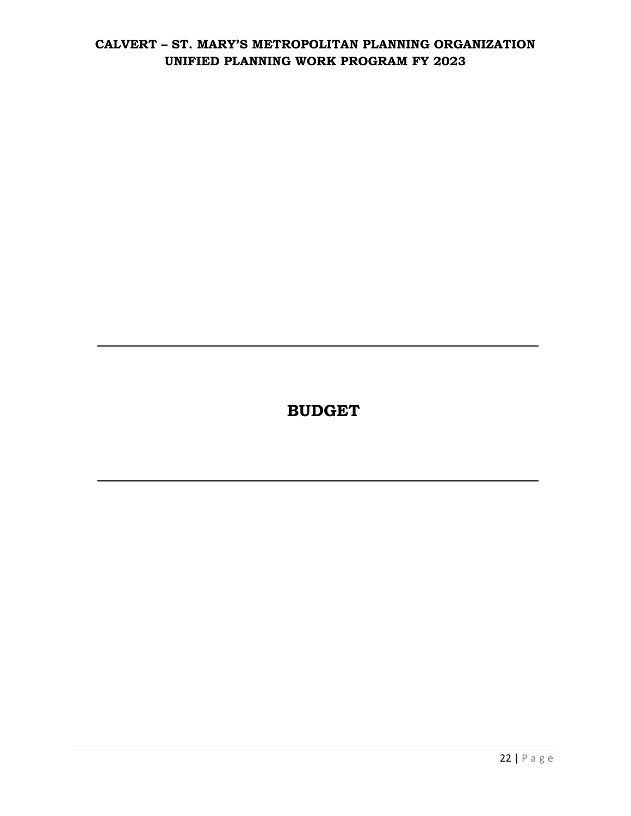**BUDGET**